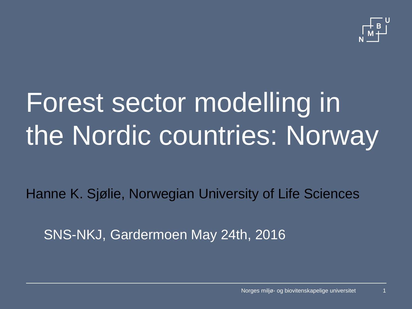

# Forest sector modelling in the Nordic countries: Norway

Hanne K. Sjølie, Norwegian University of Life Sciences

SNS-NKJ, Gardermoen May 24th, 2016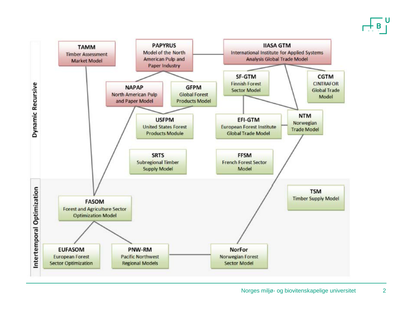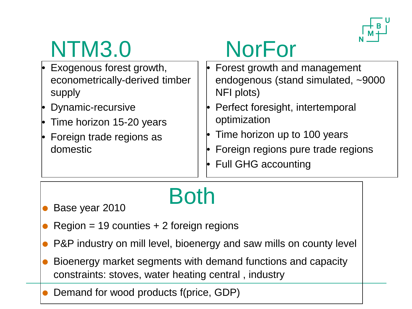

### NTM3.0

- Exogenous forest growth, econometrically-derived timber supply
- Dynamic-recursive
- Time horizon 15-20 years
- Foreign trade regions as domestic

## **NorFor**

- Forest growth and management endogenous (stand simulated, ~9000 NFI plots)
- Perfect foresight, intertemporal optimization
- Time horizon up to 100 years
- Foreign regions pure trade regions
- Full GHG accounting

# Both

- **Base year 2010**
- Region = 19 counties  $+ 2$  foreign regions
- P&P industry on mill level, bioenergy and saw mills on county level
- Bioenergy market segments with demand functions and capacity constraints: stoves, water heating central , industry
- Demand for wood products f(price, GDP)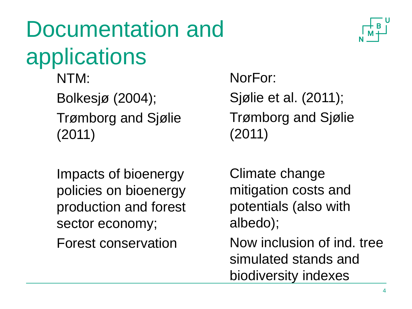## Documentation and applications

NTM: Bolkesjø (2004); Trømborg and Sjølie (2011)

Impacts of bioenergy policies on bioenergy production and forest sector economy;

Forest conservation

NorFor: Sjølie et al. (2011); Trømborg and Sjølie (2011)

Climate change mitigation costs and potentials (also with albedo);

Now inclusion of ind. tree simulated stands and biodiversity indexes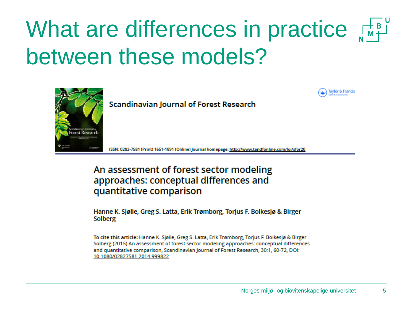### What are differences in practice  $\mathbb{R}^n + \mathbb{R}^n$ between these models?



**Scandinavian Journal of Forest Research** 

ISSN: 0282-7581 (Print) 1651-1891 (Online) Journal homepage: http://www.tandfonline.com/loi/sfor20

#### An assessment of forest sector modeling approaches: conceptual differences and quantitative comparison

Hanne K. Sjølie, Greg S. Latta, Erik Trømborg, Torjus F. Bolkesjø & Birger **Solberg** 

To cite this article: Hanne K. Sjølie, Greg S. Latta, Erik Trømborg, Torjus F. Bolkesjø & Birger Solberg (2015) An assessment of forest sector modeling approaches: conceptual differences and quantitative comparison, Scandinavian Journal of Forest Research, 30:1, 60-72, DOI: 10.1080/02827581.2014.999822

**Taylor & Francis**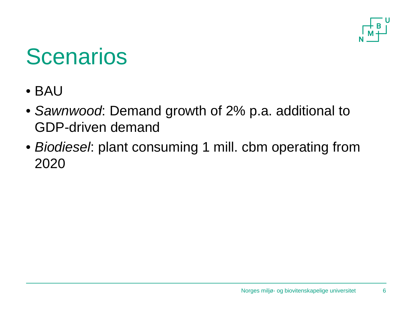

### **Scenarios**

- BAU
- *Sawnwood*: Demand growth of 2% p.a. additional to GDP-driven demand
- *Biodiesel*: plant consuming 1 mill. cbm operating from 2020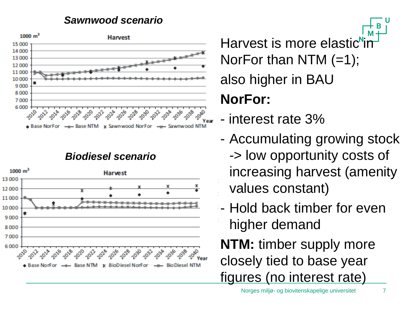#### *Sawnwood scenario*



#### *Biodiesel scenario*



Harvest is more elastic $\mathbb{I}^n$ NorFor than NTM  $(=1)$ ; also higher in BAU **NorFor:** 

- interest rate 3%
- Accumulating growing stock -> low opportunity costs of increasing harvest (amenity values constant)
- Hold back timber for even higher demand
- **NTM:** timber supply more closely tied to base year figures (no interest rate)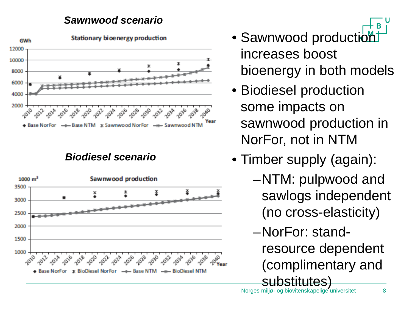### *Sawnwood scenario*



### *Biodiesel scenario*



- Sawnwood production increases boost bioenergy in both models
- Biodiesel production some impacts on sawnwood production in NorFor, not in NTM
- Timber supply (again):
	- –NTM: pulpwood and sawlogs independent (no cross-elasticity)
	- –NorFor: standresource dependent (complimentary and **SUDSTITUTES)**<br>Norges miljø- og biovitenskapelige universitet 8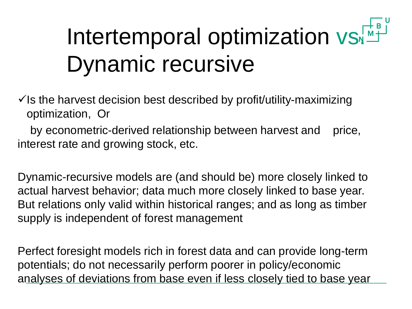# Intertemporal optimization vs Dynamic recursive

 $\checkmark$  is the harvest decision best described by profit/utility-maximizing optimization, Or

by econometric-derived relationship between harvest and price, interest rate and growing stock, etc.

Dynamic-recursive models are (and should be) more closely linked to actual harvest behavior; data much more closely linked to base year. But relations only valid within historical ranges; and as long as timber supply is independent of forest management

Perfect foresight models rich in forest data and can provide long-term potentials; do not necessarily perform poorer in policy/economic analyses of deviations from base even if less closely tied to base year